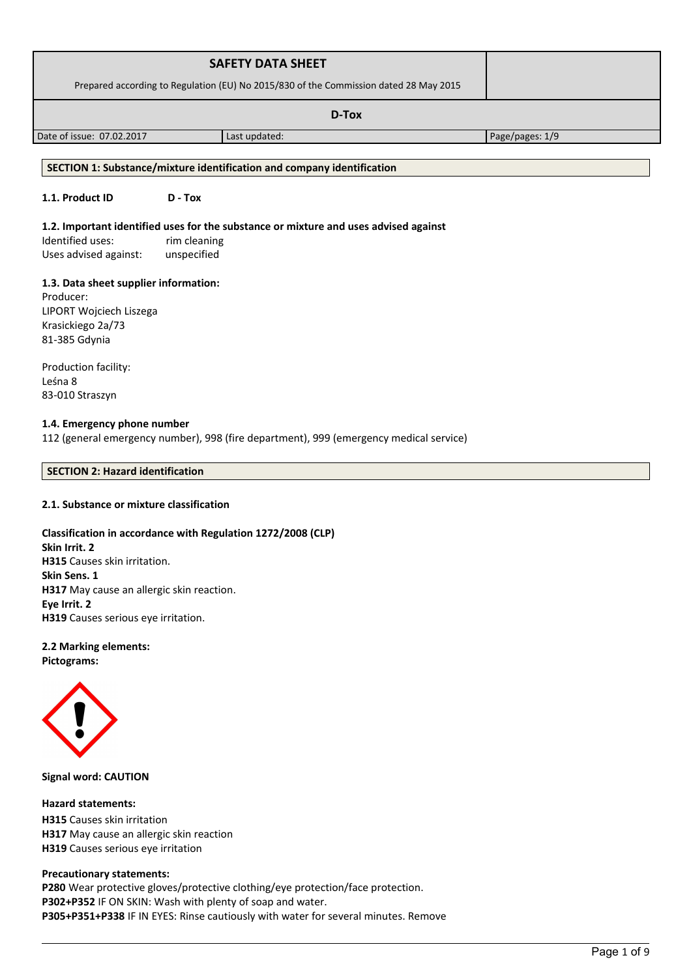| <b>SAFETY DATA SHEET</b>                                                              |               |                 |
|---------------------------------------------------------------------------------------|---------------|-----------------|
| Prepared according to Regulation (EU) No 2015/830 of the Commission dated 28 May 2015 |               |                 |
|                                                                                       |               |                 |
| Date of issue: 07.02.2017                                                             | Last updated: | Page/pages: 1/9 |

## **SECTION 1: Substance/mixture identification and company identification**

# **1.1. Product ID D - Tox**

#### **1.2. Important identified uses for the substance or mixture and uses advised against**

Identified uses: rim cleaning Uses advised against: unspecified

#### **1.3. Data sheet supplier information:**

Producer: LIPORT Wojciech Liszega Krasickiego 2a/73 81-385 Gdynia

Production facility: Leśna 8 83-010 Straszyn

#### **1.4. Emergency phone number**

112 (general emergency number), 998 (fire department), 999 (emergency medical service)

#### **SECTION 2: Hazard identification**

#### **2.1. Substance or mixture classification**

## **Classification in accordance with Regulation 1272/2008 (CLP)**

**Skin Irrit. 2 H315** Causes skin irritation. **Skin Sens. 1 H317** May cause an allergic skin reaction. **Eye Irrit. 2 H319** Causes serious eye irritation.

# **2.2 Marking elements:**

**Pictograms:**



**Signal word: CAUTION**

#### **Hazard statements:**

**H315** Causes skin irritation **H317** May cause an allergic skin reaction **H319** Causes serious eye irritation

#### **Precautionary statements:**

**P280** Wear protective gloves/protective clothing/eye protection/face protection. **P302+P352** IF ON SKIN: Wash with plenty of soap and water. **P305+P351+P338** IF IN EYES: Rinse cautiously with water for several minutes. Remove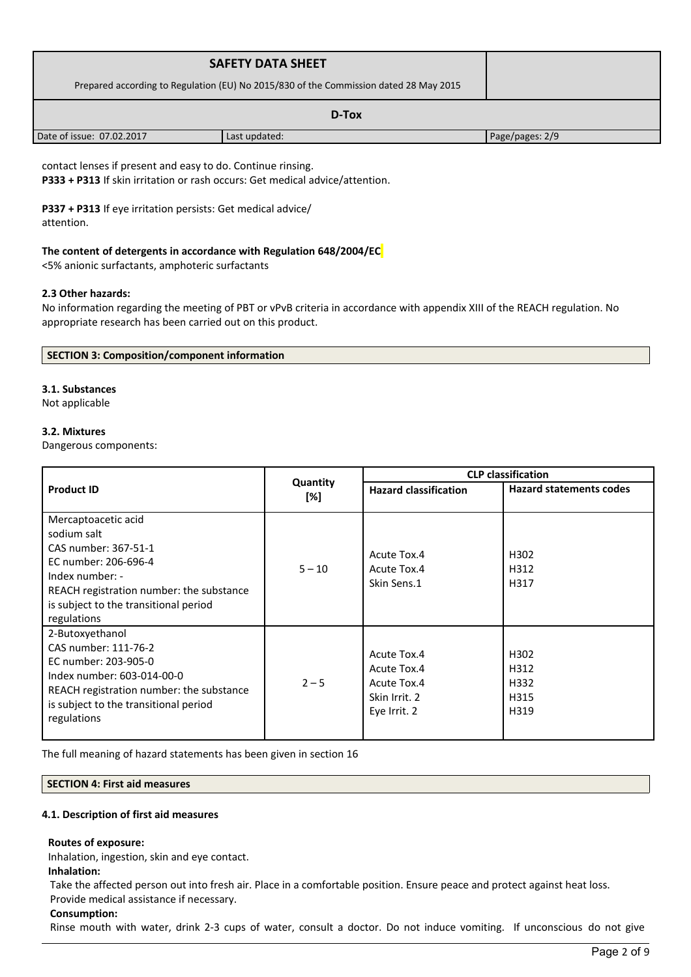| <b>SAFETY DATA SHEET</b>                                                              |               |                 |
|---------------------------------------------------------------------------------------|---------------|-----------------|
| Prepared according to Regulation (EU) No 2015/830 of the Commission dated 28 May 2015 |               |                 |
|                                                                                       |               |                 |
| Date of issue: 07.02.2017                                                             | Last updated: | Page/pages: 2/9 |

contact lenses if present and easy to do. Continue rinsing. **P333 + P313** If skin irritation or rash occurs: Get medical advice/attention.

**P337 + P313** If eye irritation persists: Get medical advice/ attention.

# **The content of detergents in accordance with Regulation 648/2004/EC**

<5% anionic surfactants, amphoteric surfactants

## **2.3 Other hazards:**

No information regarding the meeting of PBT or vPvB criteria in accordance with appendix XIII of the REACH regulation. No appropriate research has been carried out on this product.

| SECTION 3: Composition/component information |  |
|----------------------------------------------|--|
|----------------------------------------------|--|

# **3.1. Substances**

Not applicable

## **3.2. Mixtures**

Dangerous components:

|                                                                                                                                                                                                           |                 | <b>CLP classification</b>                                                  |                                      |  |
|-----------------------------------------------------------------------------------------------------------------------------------------------------------------------------------------------------------|-----------------|----------------------------------------------------------------------------|--------------------------------------|--|
| <b>Product ID</b>                                                                                                                                                                                         | Quantity<br>[%] | <b>Hazard classification</b>                                               | <b>Hazard statements codes</b>       |  |
| Mercaptoacetic acid<br>sodium salt<br>CAS number: 367-51-1<br>EC number: 206-696-4<br>Index number: -<br>REACH registration number: the substance<br>is subject to the transitional period<br>regulations | $5 - 10$        | Acute Tox.4<br>Acute Tox.4<br>Skin Sens.1                                  | H <sub>302</sub><br>H312<br>H317     |  |
| 2-Butoxyethanol<br>CAS number: 111-76-2<br>EC number: 203-905-0<br>Index number: 603-014-00-0<br>REACH registration number: the substance<br>is subject to the transitional period<br>regulations         | $2 - 5$         | Acute Tox.4<br>Acute Tox.4<br>Acute Tox.4<br>Skin Irrit. 2<br>Eye Irrit. 2 | H302<br>H312<br>H332<br>H315<br>H319 |  |

The full meaning of hazard statements has been given in section 16

## **SECTION 4: First aid measures**

## **4.1. Description of first aid measures**

## **Routes of exposure:**

Inhalation, ingestion, skin and eye contact.

# **Inhalation:**

Take the affected person out into fresh air. Place in a comfortable position. Ensure peace and protect against heat loss. Provide medical assistance if necessary.

## **Consumption:**

Rinse mouth with water, drink 2-3 cups of water, consult a doctor. Do not induce vomiting. If unconscious do not give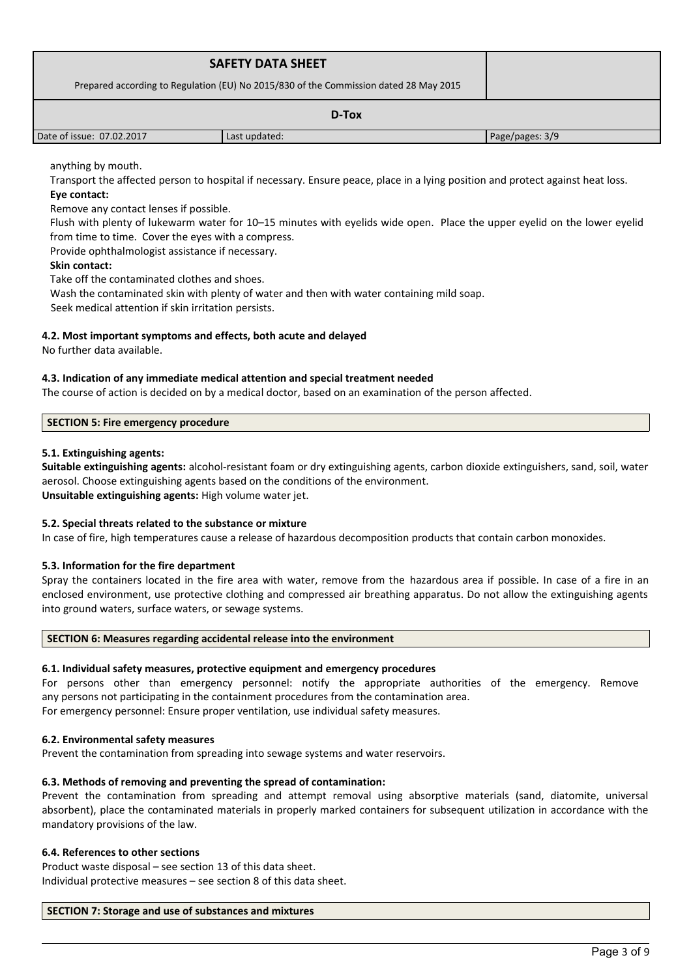| <b>SAFETY DATA SHEET</b><br>Prepared according to Regulation (EU) No 2015/830 of the Commission dated 28 May 2015 |               |                 |
|-------------------------------------------------------------------------------------------------------------------|---------------|-----------------|
| D-Tox                                                                                                             |               |                 |
| Date of issue: 07.02.2017                                                                                         | Last updated: | Page/pages: 3/9 |

# anything by mouth.

Transport the affected person to hospital if necessary. Ensure peace, place in a lying position and protect against heat loss. **Eye contact:**

Remove any contact lenses if possible.

Flush with plenty of lukewarm water for 10–15 minutes with eyelids wide open. Place the upper eyelid on the lower eyelid from time to time. Cover the eyes with a compress.

Provide ophthalmologist assistance if necessary.

## **Skin contact:**

Take off the contaminated clothes and shoes.

Wash the contaminated skin with plenty of water and then with water containing mild soap.

Seek medical attention if skin irritation persists.

## **4.2. Most important symptoms and effects, both acute and delayed**

No further data available.

#### **4.3. Indication of any immediate medical attention and special treatment needed**

The course of action is decided on by a medical doctor, based on an examination of the person affected.

#### **SECTION 5: Fire emergency procedure**

## **5.1. Extinguishing agents:**

**Suitable extinguishing agents:** alcohol-resistant foam or dry extinguishing agents, carbon dioxide extinguishers, sand, soil, water aerosol. Choose extinguishing agents based on the conditions of the environment. **Unsuitable extinguishing agents:** High volume water jet.

## **5.2. Special threats related to the substance or mixture**

In case of fire, high temperatures cause a release of hazardous decomposition products that contain carbon monoxides.

## **5.3. Information for the fire department**

Spray the containers located in the fire area with water, remove from the hazardous area if possible. In case of a fire in an enclosed environment, use protective clothing and compressed air breathing apparatus. Do not allow the extinguishing agents into ground waters, surface waters, or sewage systems.

#### **SECTION 6: Measures regarding accidental release into the environment**

## **6.1. Individual safety measures, protective equipment and emergency procedures**

For persons other than emergency personnel: notify the appropriate authorities of the emergency. Remove any persons not participating in the containment procedures from the contamination area. For emergency personnel: Ensure proper ventilation, use individual safety measures.

## **6.2. Environmental safety measures**

Prevent the contamination from spreading into sewage systems and water reservoirs.

## **6.3. Methods of removing and preventing the spread of contamination:**

Prevent the contamination from spreading and attempt removal using absorptive materials (sand, diatomite, universal absorbent), place the contaminated materials in properly marked containers for subsequent utilization in accordance with the mandatory provisions of the law.

## **6.4. References to other sections**

Product waste disposal – see section 13 of this data sheet. Individual protective measures – see section 8 of this data sheet.

#### **SECTION 7: Storage and use of substances and mixtures**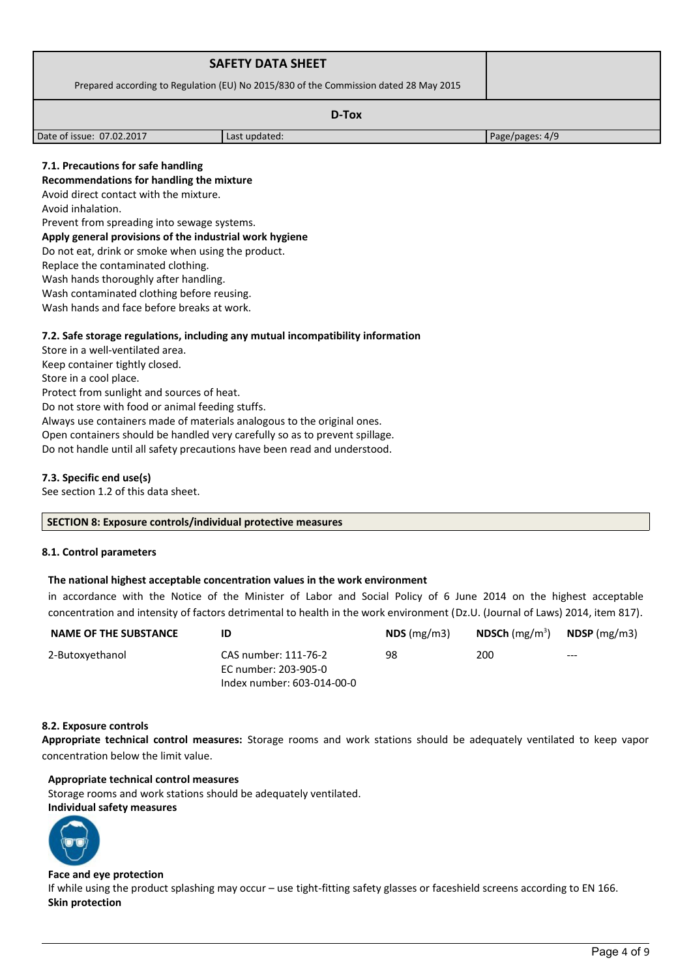| <b>SAFETY DATA SHEET</b>                                                              |               |                 |
|---------------------------------------------------------------------------------------|---------------|-----------------|
| Prepared according to Regulation (EU) No 2015/830 of the Commission dated 28 May 2015 |               |                 |
| D-Tox                                                                                 |               |                 |
| Date of issue: 07.02.2017                                                             | Last updated: | Page/pages: 4/9 |

# **7.1. Precautions for safe handling**

## **Recommendations for handling the mixture**

Avoid direct contact with the mixture.

Avoid inhalation.

Prevent from spreading into sewage systems.

#### **Apply general provisions of the industrial work hygiene**

Do not eat, drink or smoke when using the product.

Replace the contaminated clothing.

Wash hands thoroughly after handling.

Wash contaminated clothing before reusing.

Wash hands and face before breaks at work.

## **7.2. Safe storage regulations, including any mutual incompatibility information**

Store in a well-ventilated area. Keep container tightly closed. Store in a cool place. Protect from sunlight and sources of heat. Do not store with food or animal feeding stuffs. Always use containers made of materials analogous to the original ones. Open containers should be handled very carefully so as to prevent spillage. Do not handle until all safety precautions have been read and understood.

# **7.3. Specific end use(s)**

See section 1.2 of this data sheet.

#### **SECTION 8: Exposure controls/individual protective measures**

## **8.1. Control parameters**

## **The national highest acceptable concentration values in the work environment**

in accordance with the Notice of the Minister of Labor and Social Policy of 6 June 2014 on the highest acceptable concentration and intensity of factors detrimental to health in the work environment (Dz.U. (Journal of Laws) 2014, item 817).

| NAME OF THE SUBSTANCE | ID                         | $NDS$ (mg/m3) | <b>NDSCh</b> (mg/m <sup>3</sup> ) | <b>NDSP</b> (mg/m3) |
|-----------------------|----------------------------|---------------|-----------------------------------|---------------------|
| 2-Butoxyethanol       | CAS number: 111-76-2       | 98            | 200                               | $---$               |
|                       | EC number: 203-905-0       |               |                                   |                     |
|                       | Index number: 603-014-00-0 |               |                                   |                     |

## **8.2. Exposure controls**

**Appropriate technical control measures:** Storage rooms and work stations should be adequately ventilated to keep vapor concentration below the limit value.

## **Appropriate technical control measures**

Storage rooms and work stations should be adequately ventilated.

## **Individual safety measures**



#### **Face and eye protection**

If while using the product splashing may occur – use tight-fitting safety glasses or faceshield screens according to EN 166. **Skin protection**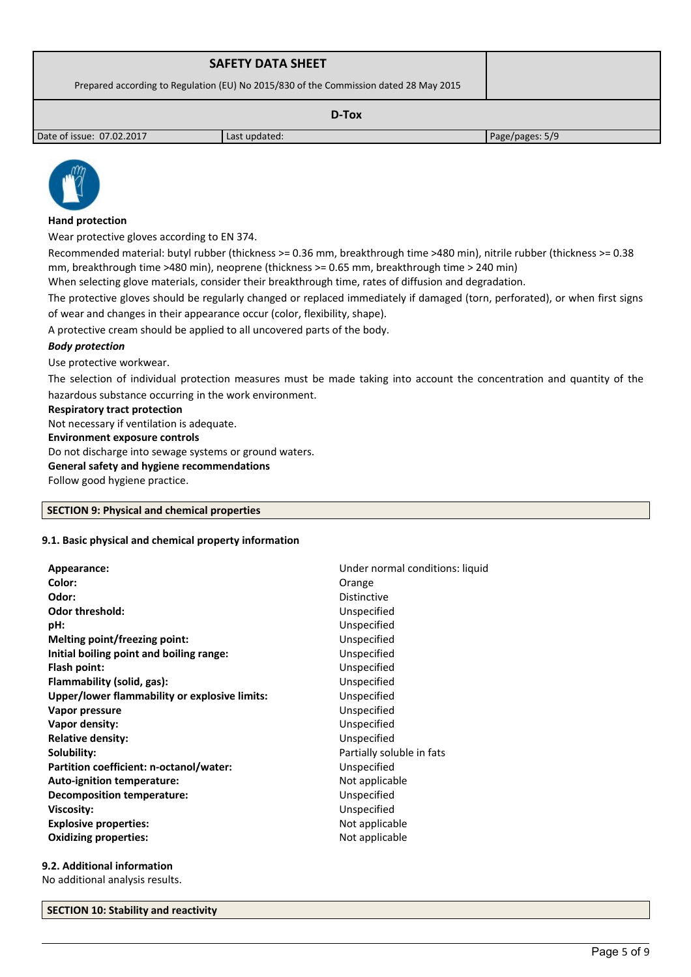| <b>SAFETY DATA SHEET</b>                                                              |               |                 |
|---------------------------------------------------------------------------------------|---------------|-----------------|
| Prepared according to Regulation (EU) No 2015/830 of the Commission dated 28 May 2015 |               |                 |
| D-Tox                                                                                 |               |                 |
| Date of issue: 07.02.2017                                                             | Last updated: | Page/pages: 5/9 |



# **Hand protection**

Wear protective gloves according to EN 374.

Recommended material: butyl rubber (thickness >= 0.36 mm, breakthrough time >480 min), nitrile rubber (thickness >= 0.38 mm, breakthrough time >480 min), neoprene (thickness >= 0.65 mm, breakthrough time > 240 min)

When selecting glove materials, consider their breakthrough time, rates of diffusion and degradation.

The protective gloves should be regularly changed or replaced immediately if damaged (torn, perforated), or when first signs of wear and changes in their appearance occur (color, flexibility, shape).

A protective cream should be applied to all uncovered parts of the body.

# *Body protection*

Use protective workwear.

The selection of individual protection measures must be made taking into account the concentration and quantity of the hazardous substance occurring in the work environment.

## **Respiratory tract protection**

Not necessary if ventilation is adequate.

**Environment exposure controls** 

Do not discharge into sewage systems or ground waters.

**General safety and hygiene recommendations**

Follow good hygiene practice.

## **SECTION 9: Physical and chemical properties**

## **9.1. Basic physical and chemical property information**

| Orange<br>Distinctive<br>Unspecified<br>Unspecified<br>Unspecified<br>Unspecified<br>Unspecified<br>Unspecified<br>Unspecified<br>Unspecified<br>Unspecified<br>Unspecified<br>Partially soluble in fats<br>Unspecified<br>Not applicable<br>Unspecified<br>Unspecified | Appearance:                                   | Under normal conditions: liquid |
|-------------------------------------------------------------------------------------------------------------------------------------------------------------------------------------------------------------------------------------------------------------------------|-----------------------------------------------|---------------------------------|
|                                                                                                                                                                                                                                                                         | Color:                                        |                                 |
|                                                                                                                                                                                                                                                                         | Odor:                                         |                                 |
|                                                                                                                                                                                                                                                                         | <b>Odor threshold:</b>                        |                                 |
|                                                                                                                                                                                                                                                                         | pH:                                           |                                 |
|                                                                                                                                                                                                                                                                         | Melting point/freezing point:                 |                                 |
|                                                                                                                                                                                                                                                                         | Initial boiling point and boiling range:      |                                 |
|                                                                                                                                                                                                                                                                         | Flash point:                                  |                                 |
|                                                                                                                                                                                                                                                                         | Flammability (solid, gas):                    |                                 |
|                                                                                                                                                                                                                                                                         | Upper/lower flammability or explosive limits: |                                 |
|                                                                                                                                                                                                                                                                         | Vapor pressure                                |                                 |
|                                                                                                                                                                                                                                                                         | Vapor density:                                |                                 |
|                                                                                                                                                                                                                                                                         | <b>Relative density:</b>                      |                                 |
|                                                                                                                                                                                                                                                                         | Solubility:                                   |                                 |
|                                                                                                                                                                                                                                                                         | Partition coefficient: n-octanol/water:       |                                 |
|                                                                                                                                                                                                                                                                         | Auto-ignition temperature:                    |                                 |
|                                                                                                                                                                                                                                                                         | <b>Decomposition temperature:</b>             |                                 |
|                                                                                                                                                                                                                                                                         | <b>Viscosity:</b>                             |                                 |
| Not applicable                                                                                                                                                                                                                                                          | <b>Explosive properties:</b>                  |                                 |
| Not applicable                                                                                                                                                                                                                                                          | <b>Oxidizing properties:</b>                  |                                 |

## **9.2. Additional information**

No additional analysis results.

#### **SECTION 10: Stability and reactivity**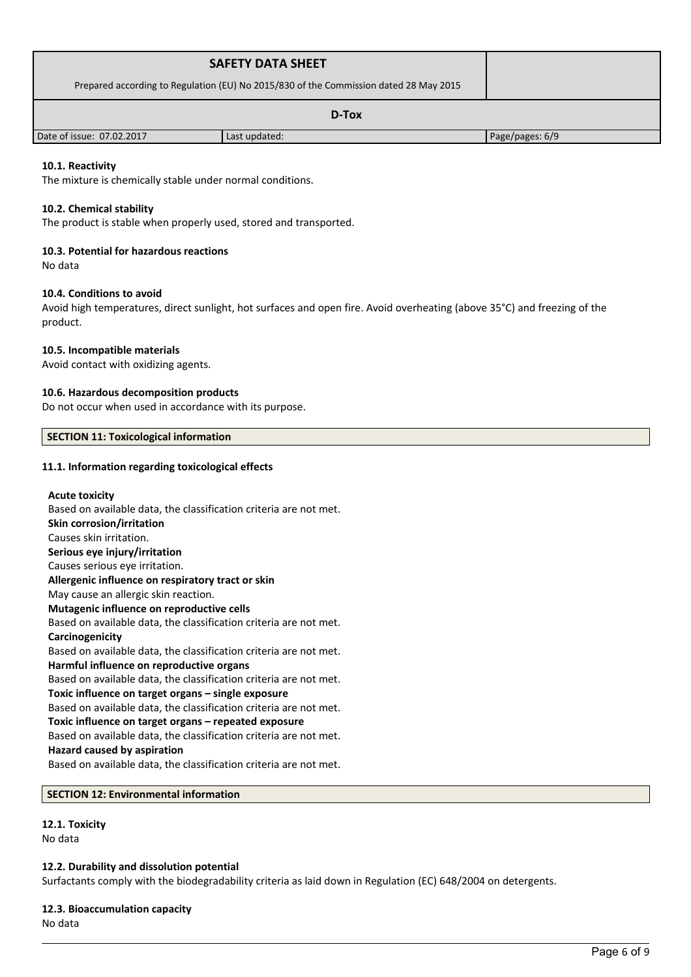| <b>SAFETY DATA SHEET</b>                                                              |               |                 |
|---------------------------------------------------------------------------------------|---------------|-----------------|
| Prepared according to Regulation (EU) No 2015/830 of the Commission dated 28 May 2015 |               |                 |
| D-Tox                                                                                 |               |                 |
| Date of issue: 07.02.2017                                                             | Last updated: | Page/pages: 6/9 |

## **10.1. Reactivity**

The mixture is chemically stable under normal conditions.

#### **10.2. Chemical stability**

The product is stable when properly used, stored and transported.

#### **10.3. Potential for hazardous reactions**

No data

#### **10.4. Conditions to avoid**

Avoid high temperatures, direct sunlight, hot surfaces and open fire. Avoid overheating (above 35°C) and freezing of the product.

#### **10.5. Incompatible materials**

Avoid contact with oxidizing agents.

#### **10.6. Hazardous decomposition products**

Do not occur when used in accordance with its purpose.

## **SECTION 11: Toxicological information**

#### **11.1. Information regarding toxicological effects**

# **Acute toxicity** Based on available data, the classification criteria are not met. **Skin corrosion/irritation** Causes skin irritation. **Serious eye injury/irritation** Causes serious eye irritation. **Allergenic influence on respiratory tract or skin** May cause an allergic skin reaction. **Mutagenic influence on reproductive cells** Based on available data, the classification criteria are not met. **Carcinogenicity** Based on available data, the classification criteria are not met. **Harmful influence on reproductive organs** Based on available data, the classification criteria are not met. **Toxic influence on target organs – single exposure** Based on available data, the classification criteria are not met. **Toxic influence on target organs – repeated exposure** Based on available data, the classification criteria are not met. **Hazard caused by aspiration** Based on available data, the classification criteria are not met.

## **SECTION 12: Environmental information**

#### **12.1. Toxicity**

No data

#### **12.2. Durability and dissolution potential**

Surfactants comply with the biodegradability criteria as laid down in Regulation (EC) 648/2004 on detergents.

#### **12.3. Bioaccumulation capacity**

No data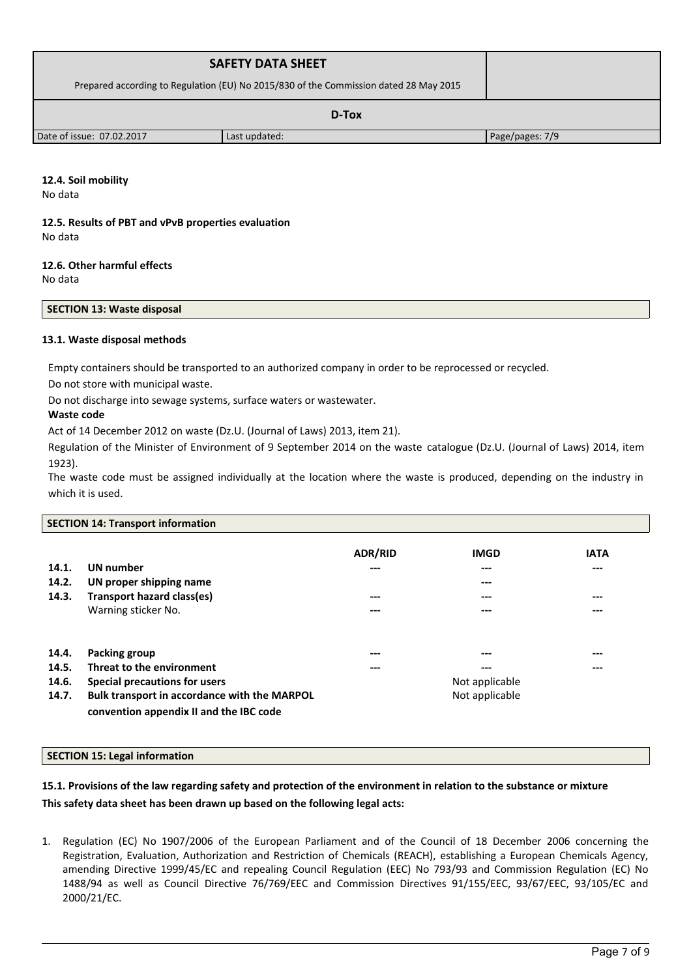| <b>SAFETY DATA SHEET</b>                                                              |               |                 |
|---------------------------------------------------------------------------------------|---------------|-----------------|
| Prepared according to Regulation (EU) No 2015/830 of the Commission dated 28 May 2015 |               |                 |
| D-Tox                                                                                 |               |                 |
| Date of issue: 07.02.2017                                                             | Last updated: | Page/pages: 7/9 |

# **12.4. Soil mobility**

No data

#### **12.5. Results of PBT and vPvB properties evaluation** No data

# **12.6. Other harmful effects**

No data

# **SECTION 13: Waste disposal**

## **13.1. Waste disposal methods**

Empty containers should be transported to an authorized company in order to be reprocessed or recycled.

Do not store with municipal waste.

Do not discharge into sewage systems, surface waters or wastewater.

# **Waste code**

Act of 14 December 2012 on waste (Dz.U. (Journal of Laws) 2013, item 21).

Regulation of the Minister of Environment of 9 September 2014 on the waste catalogue (Dz.U. (Journal of Laws) 2014, item 1923).

The waste code must be assigned individually at the location where the waste is produced, depending on the industry in which it is used.

## **SECTION 14: Transport information**

| 14.1.<br>14.2.<br>14.3. | UN number<br>UN proper shipping name<br><b>Transport hazard class(es)</b><br>Warning sticker No. | <b>ADR/RID</b><br>---<br>---<br>--- | <b>IMGD</b><br>---<br>---<br>---<br>--- | <b>IATA</b><br>---<br>$---$<br>--- |
|-------------------------|--------------------------------------------------------------------------------------------------|-------------------------------------|-----------------------------------------|------------------------------------|
| 14.4.                   | Packing group                                                                                    | $---$                               | ---                                     | ---                                |
| 14.5.                   | Threat to the environment                                                                        | $- - -$                             | ---                                     | ---                                |
| 14.6.                   | Special precautions for users                                                                    |                                     | Not applicable                          |                                    |
| 14.7.                   | Bulk transport in accordance with the MARPOL<br>convention appendix II and the IBC code          |                                     | Not applicable                          |                                    |

## **SECTION 15: Legal information**

# **15.1. Provisions of the law regarding safety and protection of the environment in relation to the substance or mixture This safety data sheet has been drawn up based on the following legal acts:**

1. Regulation (EC) No 1907/2006 of the European Parliament and of the Council of 18 December 2006 concerning the Registration, Evaluation, Authorization and Restriction of Chemicals (REACH), establishing a European Chemicals Agency, amending Directive 1999/45/EC and repealing Council Regulation (EEC) No 793/93 and Commission Regulation (EC) No 1488/94 as well as Council Directive 76/769/EEC and Commission Directives 91/155/EEC, 93/67/EEC, 93/105/EC and 2000/21/EC.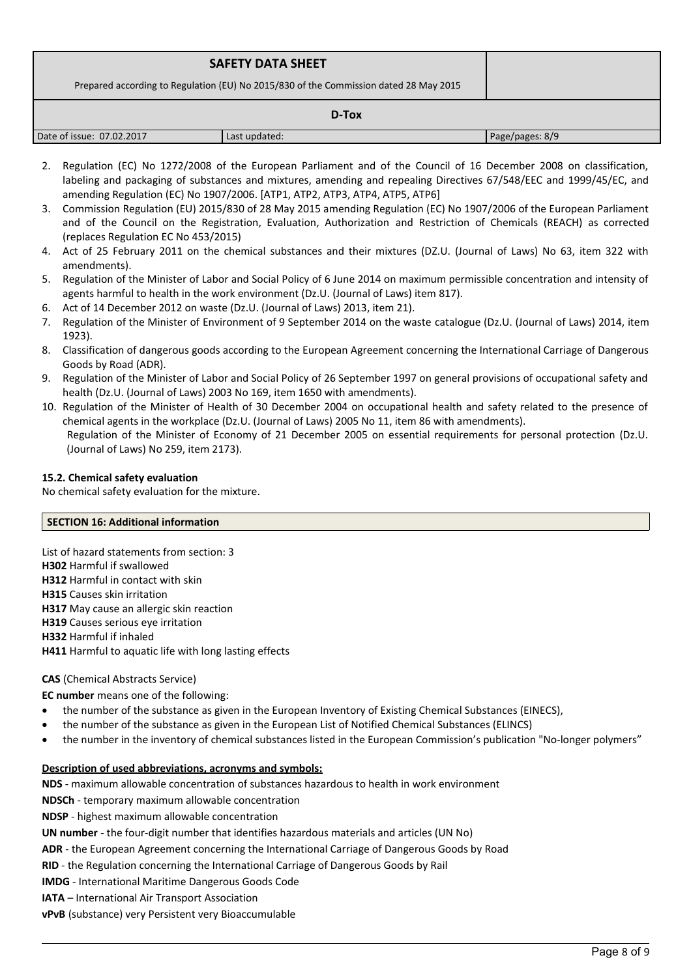| <b>SAFETY DATA SHEET</b><br>Prepared according to Regulation (EU) No 2015/830 of the Commission dated 28 May 2015 |               |                 |  |
|-------------------------------------------------------------------------------------------------------------------|---------------|-----------------|--|
| D-Tox                                                                                                             |               |                 |  |
| Date of issue: 07.02.2017                                                                                         | Last updated: | Page/pages: 8/9 |  |

- 2. Regulation (EC) No 1272/2008 of the European Parliament and of the Council of 16 December 2008 on classification, labeling and packaging of substances and mixtures, amending and repealing Directives 67/548/EEC and 1999/45/EC, and amending Regulation (EC) No 1907/2006. [ATP1, ATP2, ATP3, ATP4, ATP5, ATP6]
- 3. Commission Regulation (EU) 2015/830 of 28 May 2015 amending Regulation (EC) No 1907/2006 of the European Parliament and of the Council on the Registration, Evaluation, Authorization and Restriction of Chemicals (REACH) as corrected (replaces Regulation EC No 453/2015)
- 4. Act of 25 February 2011 on the chemical substances and their mixtures (DZ.U. (Journal of Laws) No 63, item 322 with amendments).
- 5. Regulation of the Minister of Labor and Social Policy of 6 June 2014 on maximum permissible concentration and intensity of agents harmful to health in the work environment (Dz.U. (Journal of Laws) item 817).
- 6. Act of 14 December 2012 on waste (Dz.U. (Journal of Laws) 2013, item 21).
- 7. Regulation of the Minister of Environment of 9 September 2014 on the waste catalogue (Dz.U. (Journal of Laws) 2014, item 1923).
- 8. Classification of dangerous goods according to the European Agreement concerning the International Carriage of Dangerous Goods by Road (ADR).
- 9. Regulation of the Minister of Labor and Social Policy of 26 September 1997 on general provisions of occupational safety and health (Dz.U. (Journal of Laws) 2003 No 169, item 1650 with amendments).
- 10. Regulation of the Minister of Health of 30 December 2004 on occupational health and safety related to the presence of chemical agents in the workplace (Dz.U. (Journal of Laws) 2005 No 11, item 86 with amendments). Regulation of the Minister of Economy of 21 December 2005 on essential requirements for personal protection (Dz.U. (Journal of Laws) No 259, item 2173).

# **15.2. Chemical safety evaluation**

No chemical safety evaluation for the mixture.

## **SECTION 16: Additional information**

List of hazard statements from section: 3 **H302** Harmful if swallowed **H312** Harmful in contact with skin **H315** Causes skin irritation **H317** May cause an allergic skin reaction **H319** Causes serious eye irritation **H332** Harmful if inhaled **H411** Harmful to aquatic life with long lasting effects

## **CAS** (Chemical Abstracts Service)

**EC number** means one of the following:

- the number of the substance as given in the European Inventory of Existing Chemical Substances (EINECS),
- the number of the substance as given in the European List of Notified Chemical Substances (ELINCS)
- the number in the inventory of chemical substances listed in the European Commission's publication "No-longer polymers"

## **Description of used abbreviations, acronyms and symbols:**

**NDS** - maximum allowable concentration of substances hazardous to health in work environment

**NDSCh** - temporary maximum allowable concentration

**NDSP** - highest maximum allowable concentration

**UN number** - the four-digit number that identifies hazardous materials and articles (UN No)

**ADR** - the European Agreement concerning the International Carriage of Dangerous Goods by Road

**RID** - the Regulation concerning the International Carriage of Dangerous Goods by Rail

**IMDG** - International Maritime Dangerous Goods Code

**IATA** – International Air Transport Association

**vPvB** (substance) very Persistent very Bioaccumulable